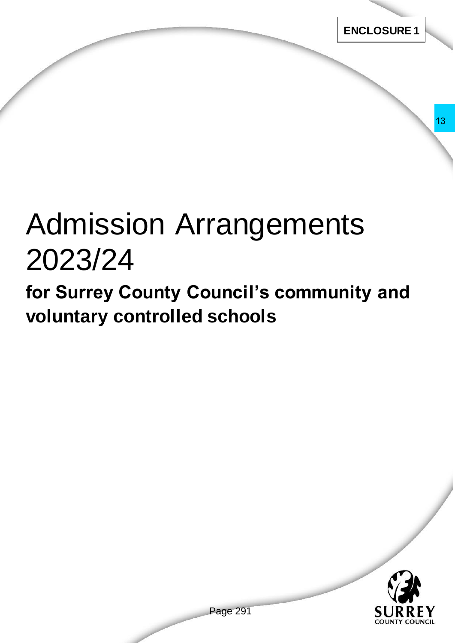# Admission Arrangements 2023/24 rangements<br>
uncil's community and<br>
schools<br>
Page 291

**for Surrey County Council's community and voluntary controlled schools** 

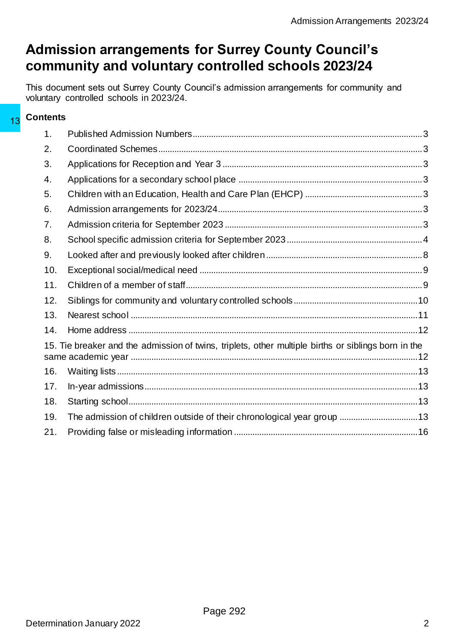# **Admission arrangements for Surrey County Council's community and voluntary controlled schools 2023/24**

This document sets out Surrey County Council's admission arrangements for community and voluntary controlled schools in 2023/24.

### **Contents**

| 13 | <b>UUILGILS</b>                                                                                     |                                                                         |  |
|----|-----------------------------------------------------------------------------------------------------|-------------------------------------------------------------------------|--|
|    | 1.                                                                                                  |                                                                         |  |
|    | 2.                                                                                                  |                                                                         |  |
|    | 3.                                                                                                  |                                                                         |  |
|    | 4.                                                                                                  |                                                                         |  |
|    | 5.                                                                                                  |                                                                         |  |
|    | 6.                                                                                                  |                                                                         |  |
|    | 7.                                                                                                  |                                                                         |  |
|    | 8.                                                                                                  |                                                                         |  |
|    | 9.                                                                                                  |                                                                         |  |
|    | 10.                                                                                                 |                                                                         |  |
|    | 11.                                                                                                 |                                                                         |  |
|    | 12.                                                                                                 |                                                                         |  |
|    | 13.                                                                                                 |                                                                         |  |
|    | 14.                                                                                                 |                                                                         |  |
|    | 15. Tie breaker and the admission of twins, triplets, other multiple births or siblings born in the |                                                                         |  |
|    | 16.                                                                                                 |                                                                         |  |
|    | 17.                                                                                                 |                                                                         |  |
|    | 18.                                                                                                 |                                                                         |  |
|    | 19.                                                                                                 | The admission of children outside of their chronological year group  13 |  |
|    | 21.                                                                                                 |                                                                         |  |
|    |                                                                                                     |                                                                         |  |
|    |                                                                                                     | Page 292                                                                |  |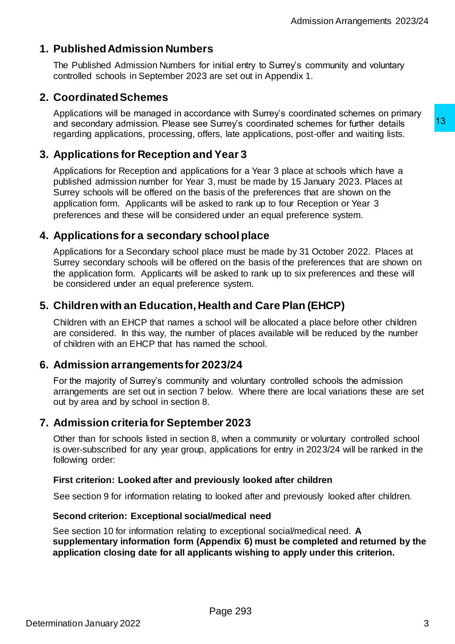# <span id="page-2-0"></span>**1. Published Admission Numbers**

The Published Admission Numbers for initial entry to Surrey's community and voluntary controlled schools in September 2023 are set out in Appendix 1.

# <span id="page-2-1"></span>**2. Coordinated Schemes**

Applications will be managed in accordance with Surrey's coordinated schemes on primary and secondary admission. Please see Surrey's coordinated schemes for further details regarding applications, processing, offers, late applications, post-offer and waiting lists.

# <span id="page-2-2"></span>**3. Applications for Reception and Year 3**

Applications for Reception and applications for a Year 3 place at schools which have a published admission number for Year 3, must be made by 15 January 2023. Places at Surrey schools will be offered on the basis of the preferences that are shown on the application form. Applicants will be asked to rank up to four Reception or Year 3 preferences and these will be considered under an equal preference system. Surrey's coordinated schemes for further details<br>13 Year 3 post-offer and waiting lists.<br>13 Year 3 post-offer and waiting lists.<br>19 Year 3<br>19 Ne in the metal by 15 January 2023. Places at<br>3, must be made by 15 January 2023

# <span id="page-2-3"></span>**4. Applications for a secondary school place**

Applications for a Secondary school place must be made by 31 October 2022. Places at Surrey secondary schools will be offered on the basis of the preferences that are shown on the application form. Applicants will be asked to rank up to six preferences and these will be considered under an equal preference system.

# <span id="page-2-4"></span>**5. Children with an Education, Health and Care Plan (EHCP)**

Children with an EHCP that names a school will be allocated a place before other children are considered. In this way, the number of places available will be reduced by the number of children with an EHCP that has named the school.

# <span id="page-2-5"></span>**6. Admission arrangements for 2023/24**

For the majority of Surrey's community and voluntary controlled schools the admission arrangements are set out in section 7 below. Where there are local variations these are set out by area and by school in section 8.

# <span id="page-2-6"></span>**7. Admission criteria for September 2023**

Other than for schools listed in section 8, when a community or voluntary controlled school is over-subscribed for any year group, applications for entry in 2023/24 will be ranked in the following order:

#### **First criterion: Looked after and previously looked after children**

See section 9 for information relating to looked after and previously looked after children.

#### **Second criterion: Exceptional social/medical need**

See section 10 for information relating to exceptional social/medical need. **A supplementary information form (Appendix 6) must be completed and returned by the application closing date for all applicants wishing to apply under this criterion.**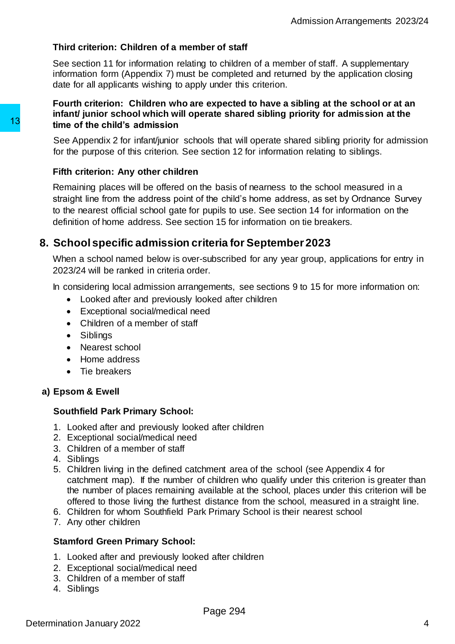#### **Third criterion: Children of a member of staff**

See section 11 for information relating to children of a member of staff. A supplementary information form (Appendix 7) must be completed and returned by the application closing date for all applicants wishing to apply under this criterion.

#### **Fourth criterion: Children who are expected to have a sibling at the school or at an infant/ junior school which will operate shared sibling priority for admission at the time of the child's admission**

See Appendix 2 for infant/junior schools that will operate shared sibling priority for admission for the purpose of this criterion. See section 12 for information relating to siblings.

#### **Fifth criterion: Any other children**

Remaining places will be offered on the basis of nearness to the school measured in a straight line from the address point of the child's home address, as set by Ordnance Survey to the nearest official school gate for pupils to use. See section 14 for information on the definition of home address. See section 15 for information on tie breakers. 13<br>
time of the child's admission<br>
See Appendix 2 for infant/juntor schools that will<br>
for the purpose of this critician. See section 12<br>
Fifth criterion: Any other children<br>
Remaining places will be offered on the basis o

# <span id="page-3-0"></span>**8. School specific admission criteria for September 2023**

When a school named below is over-subscribed for any year group, applications for entry in 2023/24 will be ranked in criteria order.

In considering local admission arrangements, see sections 9 to 15 for more information on:

- Looked after and previously looked after children
- Exceptional social/medical need
- Children of a member of staff
- Siblings
- Nearest school
- Home address
- Tie breakers

### **a) Epsom & Ewell**

#### **Southfield Park Primary School:**

- 1. Looked after and previously looked after children
- 2. Exceptional social/medical need
- 3. Children of a member of staff
- 4. Siblings
- 5. Children living in the defined catchment area of the school (see Appendix 4 for catchment map). If the number of children who qualify under this criterion is greater than the number of places remaining available at the school, places under this criterion will be offered to those living the furthest distance from the school, measured in a straight line.
- 6. Children for whom Southfield Park Primary School is their nearest school
- 7. Any other children

#### **Stamford Green Primary School:**

- 1. Looked after and previously looked after children
- 2. Exceptional social/medical need
- 3. Children of a member of staff
- 4. Siblings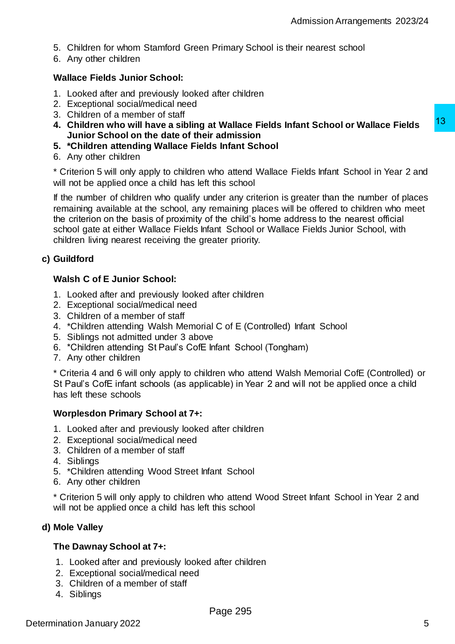- 5. Children for whom Stamford Green Primary School is their nearest school
- 6. Any other children

#### **Wallace Fields Junior School:**

- 1. Looked after and previously looked after children
- 2. Exceptional social/medical need
- 3. Children of a member of staff
- **4. Children who will have a sibling at Wallace Fields Infant School or Wallace Fields Junior School on the date of their admission**
- **5. \*Children attending Wallace Fields Infant School**
- 6. Any other children

\* Criterion 5 will only apply to children who attend Wallace Fields Infant School in Year 2 and will not be applied once a child has left this school

If the number of children who qualify under any criterion is greater than the number of places remaining available at the school, any remaining places will be offered to children who meet the criterion on the basis of proximity of the child's home address to the nearest official school gate at either Wallace Fields Infant School or Wallace Fields Junior School, with children living nearest receiving the greater priority. r admission<br>Tradmission<br>Tradmission<br>Tradmission attend Wallace Fields Infant School in Year 2 and<br>this school<br>who attend Wallace Fields Infant School in Year 2 and<br>this school<br>that any oritetion is greater than the number

#### **c) Guildford**

#### **Walsh C of E Junior School:**

- 1. Looked after and previously looked after children
- 2. Exceptional social/medical need
- 3. Children of a member of staff
- 4. \*Children attending Walsh Memorial C of E (Controlled) Infant School
- 5. Siblings not admitted under 3 above
- 6. \*Children attending St Paul's CofE Infant School (Tongham)
- 7. Any other children

\* Criteria 4 and 6 will only apply to children who attend Walsh Memorial CofE (Controlled) or St Paul's CofE infant schools (as applicable) in Year 2 and will not be applied once a child has left these schools

#### **Worplesdon Primary School at 7+:**

- 1. Looked after and previously looked after children
- 2. Exceptional social/medical need
- 3. Children of a member of staff
- 4. Siblings
- 5. \*Children attending Wood Street Infant School
- 6. Any other children

\* Criterion 5 will only apply to children who attend Wood Street Infant School in Year 2 and will not be applied once a child has left this school

#### **d) Mole Valley**

#### **The Dawnay School at 7+:**

- 1. Looked after and previously looked after children
- 2. Exceptional social/medical need
- 3. Children of a member of staff
- 4. Siblings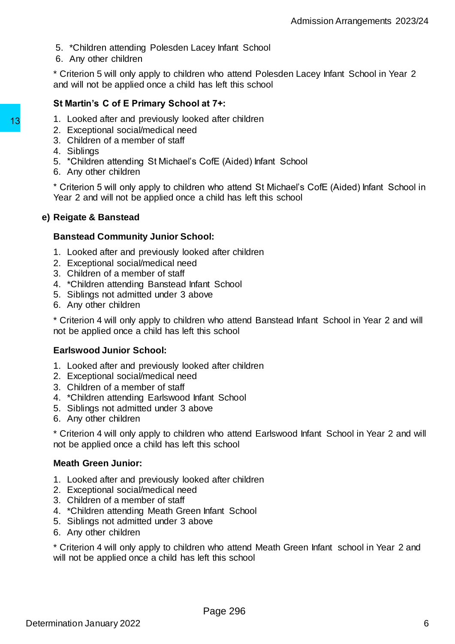- 5. \*Children attending Polesden Lacey Infant School
- 6. Any other children

\* Criterion 5 will only apply to children who attend Polesden Lacey Infant School in Year 2 and will not be applied once a child has left this school

#### **St Martin's C of E Primary School at 7+:**

- 1. Looked after and previously looked after children
- 2. Exceptional social/medical need
- 3. Children of a member of staff
- 4. Siblings
- 5. \*Children attending St Michael's CofE (Aided) Infant School
- 6. Any other children

\* Criterion 5 will only apply to children who attend St Michael's CofE (Aided) Infant School in Year 2 and will not be applied once a child has left this school

#### **e) Reigate & Banstead**

#### **Banstead Community Junior School:**

- 1. Looked after and previously looked after children
- 2. Exceptional social/medical need
- 3. Children of a member of staff
- 4. \*Children attending Banstead Infant School
- 5. Siblings not admitted under 3 above
- 6. Any other children

\* Criterion 4 will only apply to children who attend Banstead Infant School in Year 2 and will not be applied once a child has left this school

#### **Earlswood Junior School:**

- 1. Looked after and previously looked after children
- 2. Exceptional social/medical need
- 3. Children of a member of staff
- 4. \*Children attending Earlswood Infant School
- 5. Siblings not admitted under 3 above
- 6. Any other children

\* Criterion 4 will only apply to children who attend Earlswood Infant School in Year 2 and will not be applied once a child has left this school

#### **Meath Green Junior:**

- 1. Looked after and previously looked after children
- 2. Exceptional social/medical need
- 3. Children of a member of staff
- 4. \*Children attending Meath Green Infant School
- 5. Siblings not admitted under 3 above
- 6. Any other children

\* Criterion 4 will only apply to children who attend Meath Green Infant school in Year 2 and will not be applied once a child has left this school 1. Looked after and previously looked after children<br>
2. Exceptional social/medical need<br>
3. Children of a member of staff<br>
4. Siblings<br>
5. "Children attending St Michael's Coffe (Aidee<br>
6. Any other children<br>
\* Criterion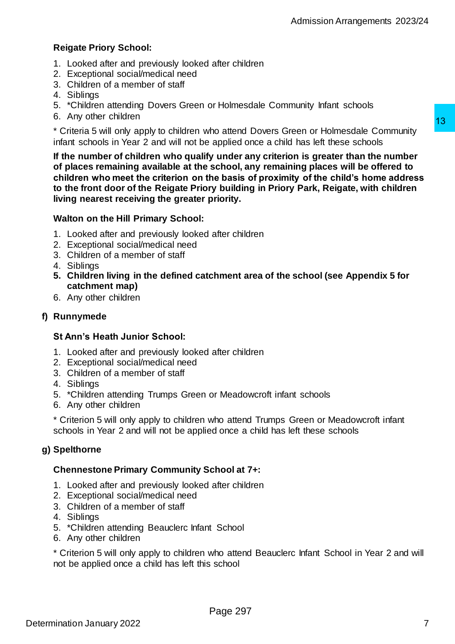#### **Reigate Priory School:**

- 1. Looked after and previously looked after children
- 2. Exceptional social/medical need
- 3. Children of a member of staff
- 4. Siblings
- 5. \*Children attending Dovers Green or Holmesdale Community Infant schools
- 6. Any other children

\* Criteria 5 will only apply to children who attend Dovers Green or Holmesdale Community infant schools in Year 2 and will not be applied once a child has left these schools

**If the number of children who qualify under any criterion is greater than the number of places remaining available at the school, any remaining places will be offered to children who meet the criterion on the basis of proximity of the child's home address to the front door of the Reigate Priory building in Priory Park, Reigate, with children living nearest receiving the greater priority.** the attend Dovers Green or Holmesdale Community<br>applied once a child has left these schools<br>y under any criterion is greater than the number<br>school, any remaining places will be offered to<br>be basis of proximity of the chil

#### **Walton on the Hill Primary School:**

- 1. Looked after and previously looked after children
- 2. Exceptional social/medical need
- 3. Children of a member of staff
- 4. Siblings
- **5. Children living in the defined catchment area of the school (see Appendix 5 for catchment map)**
- 6. Any other children

#### **f) Runnymede**

#### **St Ann's Heath Junior School:**

- 1. Looked after and previously looked after children
- 2. Exceptional social/medical need
- 3. Children of a member of staff
- 4. Siblings
- 5. \*Children attending Trumps Green or Meadowcroft infant schools
- 6. Any other children

\* Criterion 5 will only apply to children who attend Trumps Green or Meadowcroft infant schools in Year 2 and will not be applied once a child has left these schools

#### **g) Spelthorne**

#### **Chennestone Primary Community School at 7+:**

- 1. Looked after and previously looked after children
- 2. Exceptional social/medical need
- 3. Children of a member of staff
- 4. Siblings
- 5. \*Children attending Beauclerc Infant School
- 6. Any other children

\* Criterion 5 will only apply to children who attend Beauclerc Infant School in Year 2 and will not be applied once a child has left this school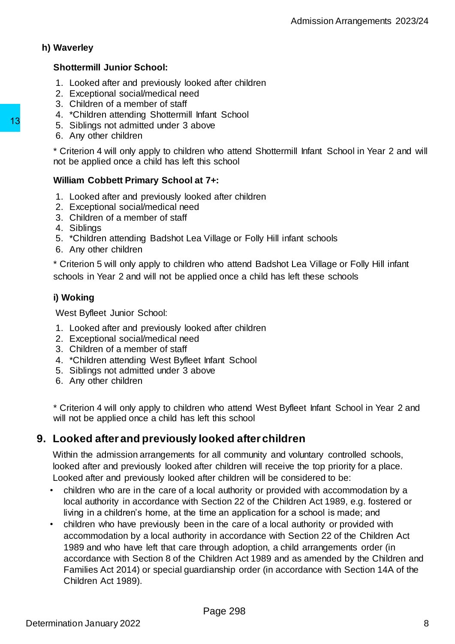#### **h) Waverley**

#### **Shottermill Junior School:**

- 1. Looked after and previously looked after children
- 2. Exceptional social/medical need
- 3. Children of a member of staff
- 4. \*Children attending Shottermill Infant School
- 5. Siblings not admitted under 3 above
- 6. Any other children

\* Criterion 4 will only apply to children who attend Shottermill Infant School in Year 2 and will not be applied once a child has left this school

#### **William Cobbett Primary School at 7+:**

- 1. Looked after and previously looked after children
- 2. Exceptional social/medical need
- 3. Children of a member of staff
- 4. Siblings
- 5. \*Children attending Badshot Lea Village or Folly Hill infant schools
- 6. Any other children

\* Criterion 5 will only apply to children who attend Badshot Lea Village or Folly Hill infant schools in Year 2 and will not be applied once a child has left these schools

### **i) Woking**

West Byfleet Junior School:

- 1. Looked after and previously looked after children
- 2. Exceptional social/medical need
- 3. Children of a member of staff
- 4. \*Children attending West Byfleet Infant School
- 5. Siblings not admitted under 3 above
- 6. Any other children

\* Criterion 4 will only apply to children who attend West Byfleet Infant School in Year 2 and will not be applied once a child has left this school

# <span id="page-7-0"></span>**9. Looked after and previously looked after children**

Within the admission arrangements for all community and voluntary controlled schools, looked after and previously looked after children will receive the top priority for a place. Looked after and previously looked after children will be considered to be:

- children who are in the care of a local authority or provided with accommodation by a local authority in accordance with Section 22 of the Children Act 1989, e.g. fostered or living in a children's home, at the time an application for a school is made; and
- children who have previously been in the care of a local authority or provided with accommodation by a local authority in accordance with Section 22 of the Children Act 1989 and who have left that care through adoption, a child arrangements order (in accordance with Section 8 of the Children Act 1989 and as amended by the Children and Families Act 2014) or special guardianship order (in accordance with Section 14A of the Children Act 1989). 13<br>
5. Siblings not admitted under 3 above<br>
6. Any other children<br>
6. Criterion 4 will only apply to children who atter<br>
the criterion 4 will only apply to children who atter<br>
1. Looked after and previously looked after c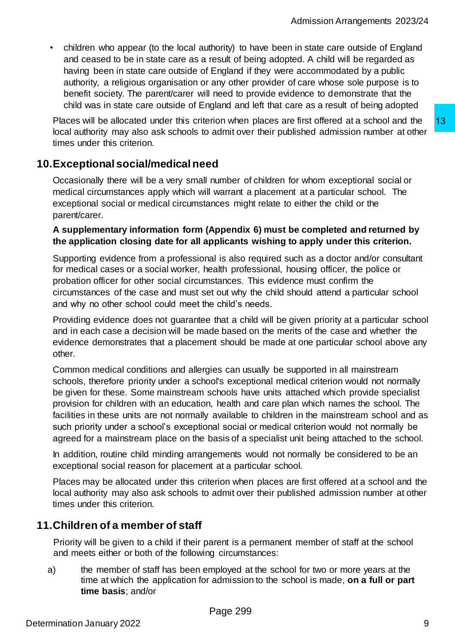• children who appear (to the local authority) to have been in state care outside of England and ceased to be in state care as a result of being adopted. A child will be regarded as having been in state care outside of England if they were accommodated by a public authority, a religious organisation or any other provider of care whose sole purpose is to benefit society. The parent/carer will need to provide evidence to demonstrate that the child was in state care outside of England and left that care as a result of being adopted

Places will be allocated under this criterion when places are first offered at a school and the local authority may also ask schools to admit over their published admission number at other times under this criterion.

# <span id="page-8-0"></span>**10.Exceptional social/medical need**

Occasionally there will be a very small number of children for whom exceptional social or medical circumstances apply which will warrant a placement at a particular school. The exceptional social or medical circumstances might relate to either the child or the parent/carer.

#### **A supplementary information form (Appendix 6) must be completed and returned by the application closing date for all applicants wishing to apply under this criterion.**

Supporting evidence from a professional is also required such as a doctor and/or consultant for medical cases or a social worker, health professional, housing officer, the police or probation officer for other social circumstances. This evidence must confirm the circumstances of the case and must set out why the child should attend a particular school and why no other school could meet the child's needs.

Providing evidence does not guarantee that a child will be given priority at a particular school and in each case a decision will be made based on the merits of the case and whether the evidence demonstrates that a placement should be made at one particular school above any other.

Common medical conditions and allergies can usually be supported in all mainstream schools, therefore priority under a school's exceptional medical criterion would not normally be given for these. Some mainstream schools have units attached which provide specialist provision for children with an education, health and care plan which names the school. The facilities in these units are not normally available to children in the mainstream school and as such priority under a school's exceptional social or medical criterion would not normally be agreed for a mainstream place on the basis of a specialist unit being attached to the school. rion when places are first offered at a school and the<br>admit over their published admission number at other<br>admit over their published admission number at other<br>admit a pacement at a particular school. The<br>number of childr

In addition, routine child minding arrangements would not normally be considered to be an exceptional social reason for placement at a particular school.

Places may be allocated under this criterion when places are first offered at a school and the local authority may also ask schools to admit over their published admission number at other times under this criterion.

# <span id="page-8-1"></span>**11.Children of a member of staff**

Priority will be given to a child if their parent is a permanent member of staff at the school and meets either or both of the following circumstances:

a) the member of staff has been employed at the school for two or more years at the time at which the application for admission to the school is made, **on a full or part time basis**; and/or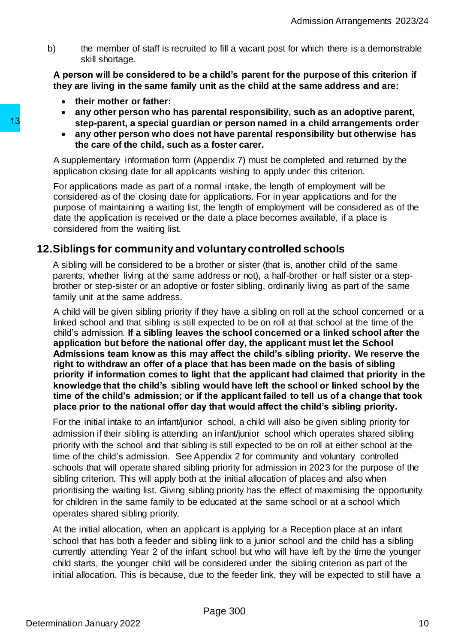b) the member of staff is recruited to fill a vacant post for which there is a demonstrable skill shortage.

**A person will be considered to be a child's parent for the purpose of this criterion if they are living in the same family unit as the child at the same address and are:**

- **their mother or father:**
- **any other person who has parental responsibility, such as an adoptive parent, step-parent, a special guardian or person named in a child arrangements order**
- **any other person who does not have parental responsibility but otherwise has the care of the child, such as a foster carer.**

A supplementary information form (Appendix 7) must be completed and returned by the application closing date for all applicants wishing to apply under this criterion.

For applications made as part of a normal intake, the length of employment will be considered as of the closing date for applications. For in year applications and for the purpose of maintaining a waiting list, the length of employment will be considered as of the date the application is received or the date a place becomes available, if a place is considered from the waiting list.

# <span id="page-9-0"></span>**12.Siblings for community and voluntary controlled schools**

A sibling will be considered to be a brother or sister (that is, another child of the same parents, whether living at the same address or not), a half-brother or half sister or a stepbrother or step-sister or an adoptive or foster sibling, ordinarily living as part of the same family unit at the same address.

A child will be given sibling priority if they have a sibling on roll at the school concerned or a linked school and that sibling is still expected to be on roll at that school at the time of the child's admission. **If a sibling leaves the school concerned or a linked school after the application but before the national offer day, the applicant must let the School Admissions team know as this may affect the child's sibling priority. We reserve the right to withdraw an offer of a place that has been made on the basis of sibling priority if information comes to light that the applicant had claimed that priority in the knowledge that the child's sibling would have left the school or linked school by the time of the child's admission; or if the applicant failed to tell us of a change that took place prior to the national offer day that would affect the child's sibling priority.** 13<br>
step-parent, a special guardian or person<br>
any other parent who does not have by<br>
the care of the child, such as a foster c:<br>
A supplementary information form (Appendix 7)<br>
application closing date or all application w

For the initial intake to an infant/junior school, a child will also be given sibling priority for admission if their sibling is attending an infant/junior school which operates shared sibling priority with the school and that sibling is still expected to be on roll at either school at the time of the child's admission. See Appendix 2 for community and voluntary controlled schools that will operate shared sibling priority for admission in 2023 for the purpose of the sibling criterion. This will apply both at the initial allocation of places and also when prioritising the waiting list. Giving sibling priority has the effect of maximising the opportunity for children in the same family to be educated at the same school or at a school which operates shared sibling priority.

At the initial allocation, when an applicant is applying for a Reception place at an infant school that has both a feeder and sibling link to a junior school and the child has a sibling currently attending Year 2 of the infant school but who will have left by the time the younger child starts, the younger child will be considered under the sibling criterion as part of the initial allocation. This is because, due to the feeder link, they will be expected to still have a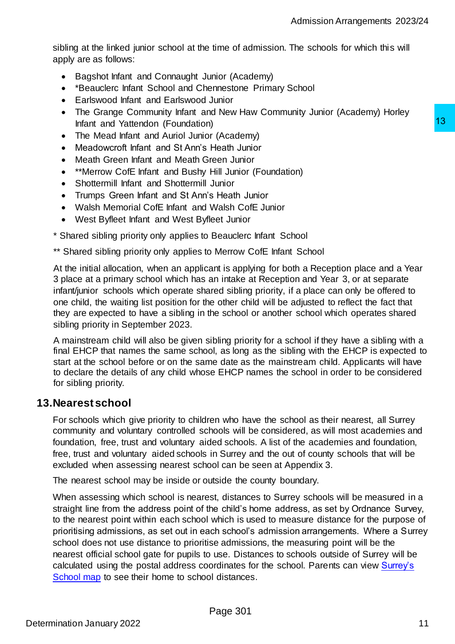sibling at the linked junior school at the time of admission. The schools for which this will apply are as follows:

- Bagshot Infant and Connaught Junior (Academy)
- \*Beauclerc Infant School and Chennestone Primary School
- Earlswood Infant and Earlswood Junior
- The Grange Community Infant and New Haw Community Junior (Academy) Horley Infant and Yattendon (Foundation)
- The Mead Infant and Auriol Junior (Academy)
- Meadowcroft Infant and St Ann's Heath Junior
- Meath Green Infant and Meath Green Junior
- \*\*Merrow CofE Infant and Bushy Hill Junior (Foundation)
- Shottermill Infant and Shottermill Junior
- Trumps Green Infant and St Ann's Heath Junior
- Walsh Memorial CofE Infant and Walsh CofE Junior
- West Byfleet Infant and West Byfleet Junior
- \* Shared sibling priority only applies to Beauclerc Infant School
- \*\* Shared sibling priority only applies to Merrow CofE Infant School

At the initial allocation, when an applicant is applying for both a Reception place and a Year 3 place at a primary school which has an intake at Reception and Year 3, or at separate infant/junior schools which operate shared sibling priority, if a place can only be offered to one child, the waiting list position for the other child will be adjusted to reflect the fact that they are expected to have a sibling in the school or another school which operates shared sibling priority in September 2023.

A mainstream child will also be given sibling priority for a school if they have a sibling with a final EHCP that names the same school, as long as the sibling with the EHCP is expected to start at the school before or on the same date as the mainstream child. Applicants will have to declare the details of any child whose EHCP names the school in order to be considered for sibling priority.

### <span id="page-10-0"></span>**13.Nearest school**

For schools which give priority to children who have the school as their nearest, all Surrey community and voluntary controlled schools will be considered, as will most academies and foundation, free, trust and voluntary aided schools. A list of the academies and foundation, free, trust and voluntary aided schools in Surrey and the out of county schools that will be excluded when assessing nearest school can be seen at Appendix 3.

The nearest school may be inside or outside the county boundary.

When assessing which school is nearest, distances to Surrey schools will be measured in a straight line from the address point of the child's home address, as set by Ordnance Survey, to the nearest point within each school which is used to measure distance for the purpose of prioritising admissions, as set out in each school's admission arrangements. Where a Surrey school does not use distance to prioritise admissions, the measuring point will be the nearest official school gate for pupils to use. Distances to schools outside of Surrey will be calculated using the postal address coordinates for the school. Parents can view Surrey's [School map](https://www.surreycc.gov.uk/schools-and-learning/schools/admissions/about-map/find-a-school) to see their home to school distances. 13<br>
If (Academy)<br>
I Health Junior<br>
I Health Junior<br>
Health Junior<br>
Health Junior<br>
Shealth Junior<br>
Unior<br>
Unior<br>
Walsh Coff Unior<br>
Walsh Coff Unior<br>
Beauclerc Infant School<br>
I Walsh Coff Unior<br>
Beauclerc Infant School<br>
In T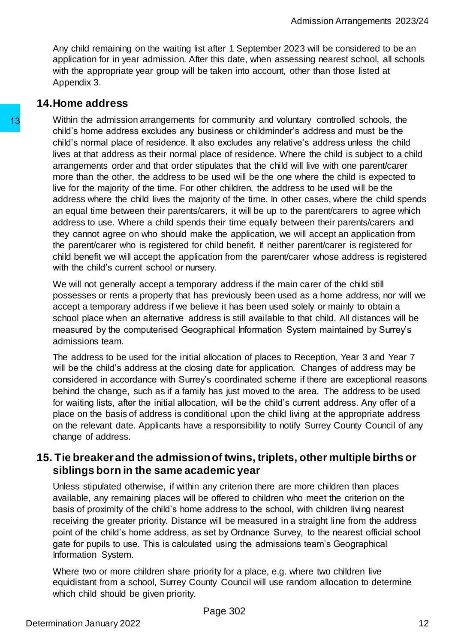Any child remaining on the waiting list after 1 September 2023 will be considered to be an application for in year admission. After this date, when assessing nearest school, all schools with the appropriate year group will be taken into account, other than those listed at Appendix 3.

# <span id="page-11-0"></span>**14.Home address**

Within the admission arrangements for community and voluntary controlled schools, the child's home address excludes any business or childminder's address and must be the child's normal place of residence. It also excludes any relative's address unless the child lives at that address as their normal place of residence. Where the child is subject to a child arrangements order and that order stipulates that the child will live with one parent/carer more than the other, the address to be used will be the one where the child is expected to live for the majority of the time. For other children, the address to be used will be the address where the child lives the majority of the time. In other cases, where the child spends an equal time between their parents/carers, it will be up to the parent/carers to agree which address to use. Where a child spends their time equally between their parents/carers and they cannot agree on who should make the application, we will accept an application from the parent/carer who is registered for child benefit. If neither parent/carer is registered for child benefit we will accept the application from the parent/carer whose address is registered with the child's current school or nursery. 13<br>
Within the admission arrangements for communicating<br>
child's home address excludes any business or<br>
child's normal place of residence. It also exclude<br>
lives at that address as their normal place of residence<br>
arrangem

We will not generally accept a temporary address if the main carer of the child still possesses or rents a property that has previously been used as a home address, nor will we accept a temporary address if we believe it has been used solely or mainly to obtain a school place when an alternative address is still available to that child. All distances will be measured by the computerised Geographical Information System maintained by Surrey's admissions team.

The address to be used for the initial allocation of places to Reception, Year 3 and Year 7 will be the child's address at the closing date for application. Changes of address may be considered in accordance with Surrey's coordinated scheme if there are exceptional reasons behind the change, such as if a family has just moved to the area. The address to be used for waiting lists, after the initial allocation, will be the child's current address. Any offer of a place on the basis of address is conditional upon the child living at the appropriate address on the relevant date. Applicants have a responsibility to notify Surrey County Council of any change of address.

# <span id="page-11-1"></span>**15. Tie breaker and the admission of twins, triplets, other multiple births or siblings born in the same academic year**

Unless stipulated otherwise, if within any criterion there are more children than places available, any remaining places will be offered to children who meet the criterion on the basis of proximity of the child's home address to the school, with children living nearest receiving the greater priority. Distance will be measured in a straight line from the address point of the child's home address, as set by Ordnance Survey, to the nearest official school gate for pupils to use. This is calculated using the admissions team's Geographical Information System.

Where two or more children share priority for a place, e.g. where two children live equidistant from a school, Surrey County Council will use random allocation to determine which child should be given priority.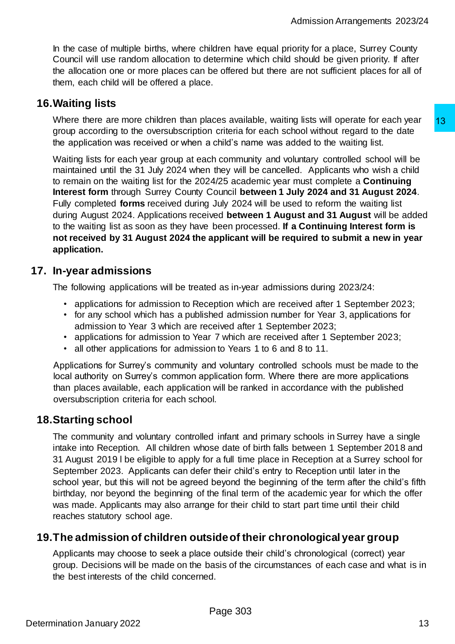In the case of multiple births, where children have equal priority for a place, Surrey County Council will use random allocation to determine which child should be given priority. If after the allocation one or more places can be offered but there are not sufficient places for all of them, each child will be offered a place.

# <span id="page-12-0"></span>**16.Waiting lists**

Where there are more children than places available, waiting lists will operate for each year group according to the oversubscription criteria for each school without regard to the date the application was received or when a child's name was added to the waiting list.

Waiting lists for each year group at each community and voluntary controlled school will be maintained until the 31 July 2024 when they will be cancelled. Applicants who wish a child to remain on the waiting list for the 2024/25 academic year must complete a **Continuing Interest form** through Surrey County Council **between 1 July 2024 and 31 August 2024**. Fully completed **forms** received during July 2024 will be used to reform the waiting list during August 2024. Applications received **between 1 August and 31 August** will be added to the waiting list as soon as they have been processed. **If a Continuing Interest form is not received by 31 August 2024 the applicant will be required to submit a new in year application.**  acces available, watting lists will operate for each year of centing in criteria for each school without regard to the date<br>child's name was added to the waiting list.<br>chierial or each school without regard to the date<br>chi

# <span id="page-12-1"></span>**17. In-year admissions**

The following applications will be treated as in-year admissions during 2023/24:

- applications for admission to Reception which are received after 1 September 2023;
- for any school which has a published admission number for Year 3, applications for admission to Year 3 which are received after 1 September 2023;
- applications for admission to Year 7 which are received after 1 September 2023;
- all other applications for admission to Years 1 to 6 and 8 to 11.

Applications for Surrey's community and voluntary controlled schools must be made to the local authority on Surrey's common application form. Where there are more applications than places available, each application will be ranked in accordance with the published oversubscription criteria for each school.

# <span id="page-12-2"></span>**18.Starting school**

The community and voluntary controlled infant and primary schools in Surrey have a single intake into Reception. All children whose date of birth falls between 1 September 2018 and 31 August 2019 l be eligible to apply for a full time place in Reception at a Surrey school for September 2023. Applicants can defer their child's entry to Reception until later in the school year, but this will not be agreed beyond the beginning of the term after the child's fifth birthday, nor beyond the beginning of the final term of the academic year for which the offer was made. Applicants may also arrange for their child to start part time until their child reaches statutory school age.

# <span id="page-12-3"></span>**19.The admission of children outside of their chronological year group**

Applicants may choose to seek a place outside their child's chronological (correct) year group. Decisions will be made on the basis of the circumstances of each case and what is in the best interests of the child concerned.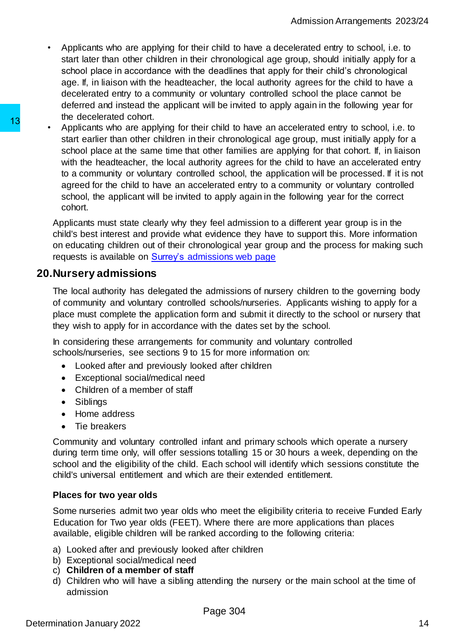- Applicants who are applying for their child to have a decelerated entry to school, i.e. to start later than other children in their chronological age group, should initially apply for a school place in accordance with the deadlines that apply for their child's chronological age. If, in liaison with the headteacher, the local authority agrees for the child to have a decelerated entry to a community or voluntary controlled school the place cannot be deferred and instead the applicant will be invited to apply again in the following year for the decelerated cohort.
- Applicants who are applying for their child to have an accelerated entry to school, i.e. to start earlier than other children in their chronological age group, must initially apply for a school place at the same time that other families are applying for that cohort. If, in liaison with the headteacher, the local authority agrees for the child to have an accelerated entry to a community or voluntary controlled school, the application will be processed. If it is not agreed for the child to have an accelerated entry to a community or voluntary controlled school, the applicant will be invited to apply again in the following year for the correct cohort. 13<br>
a becomes a contout.<br>
A popiciants who are applying for their child to that earlier than other children in their chinn<br>
school place at the same time the different minit of the school place at the same time the dimetri

Applicants must state clearly why they feel admission to a different year group is in the child's best interest and provide what evidence they have to support this. More information on educating children out of their chronological year group and the process for making such requests is available on Surrey's [admissions web page](https://www.surreycc.gov.uk/schools-and-learning/schools/admissions)

# **20.Nursery admissions**

The local authority has delegated the admissions of nursery children to the governing body of community and voluntary controlled schools/nurseries. Applicants wishing to apply for a place must complete the application form and submit it directly to the school or nursery that they wish to apply for in accordance with the dates set by the school.

In considering these arrangements for community and voluntary controlled schools/nurseries, see sections 9 to 15 for more information on:

- Looked after and previously looked after children
- Exceptional social/medical need
- Children of a member of staff
- Siblings
- Home address
- Tie breakers

Community and voluntary controlled infant and primary schools which operate a nursery during term time only, will offer sessions totalling 15 or 30 hours a week, depending on the school and the eligibility of the child. Each school will identify which sessions constitute the child's universal entitlement and which are their extended entitlement.

### **Places for two year olds**

Some nurseries admit two year olds who meet the eligibility criteria to receive Funded Early Education for Two year olds (FEET). Where there are more applications than places available, eligible children will be ranked according to the following criteria:

- a) Looked after and previously looked after children
- b) Exceptional social/medical need
- c) **Children of a member of staff**
- d) Children who will have a sibling attending the nursery or the main school at the time of admission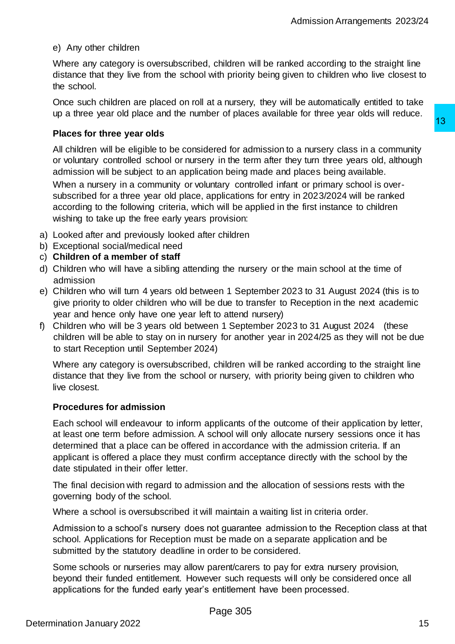#### e) Any other children

Where any category is oversubscribed, children will be ranked according to the straight line distance that they live from the school with priority being given to children who live closest to the school.

Once such children are placed on roll at a nursery, they will be automatically entitled to take up a three year old place and the number of places available for three year olds will reduce.

#### **Places for three year olds**

All children will be eligible to be considered for admission to a nursery class in a community or voluntary controlled school or nursery in the term after they turn three years old, although admission will be subject to an application being made and places being available. When a nursery in a community or voluntary controlled infant or primary school is oversubscribed for a three year old place, applications for entry in 2023/2024 will be ranked according to the following criteria, which will be applied in the first instance to children wishing to take up the free early years provision: 13<br>
the term after they turn three years old, although<br>
in the term after they turn three years old, although<br>
bion being made and places being available.<br>
Intrinstry controlled infant or primary school is over-<br>
proprinca

- a) Looked after and previously looked after children
- b) Exceptional social/medical need
- c) **Children of a member of staff**
- d) Children who will have a sibling attending the nursery or the main school at the time of admission
- e) Children who will turn 4 years old between 1 September 2023 to 31 August 2024 (this is to give priority to older children who will be due to transfer to Reception in the next academic year and hence only have one year left to attend nursery)
- f) Children who will be 3 years old between 1 September 2023 to 31 August 2024 (these children will be able to stay on in nursery for another year in 2024/25 as they will not be due to start Reception until September 2024)

Where any category is oversubscribed, children will be ranked according to the straight line distance that they live from the school or nursery, with priority being given to children who live closest.

#### **Procedures for admission**

Each school will endeavour to inform applicants of the outcome of their application by letter, at least one term before admission. A school will only allocate nursery sessions once it has determined that a place can be offered in accordance with the admission criteria. If an applicant is offered a place they must confirm acceptance directly with the school by the date stipulated in their offer letter.

The final decision with regard to admission and the allocation of sessions rests with the governing body of the school.

Where a school is oversubscribed it will maintain a waiting list in criteria order.

Admission to a school's nursery does not guarantee admission to the Reception class at that school. Applications for Reception must be made on a separate application and be submitted by the statutory deadline in order to be considered.

Some schools or nurseries may allow parent/carers to pay for extra nursery provision, beyond their funded entitlement. However such requests will only be considered once all applications for the funded early year's entitlement have been processed.